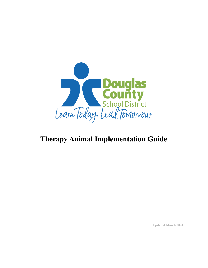

# **Therapy Animal Implementation Guide**

**Updated March 2021**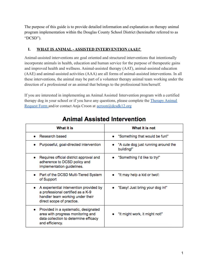The purpose of this guide is to provide detailed information and explanation on therapy animal program implementation within the Douglas County School District (hereinafter referred to as "DCSD").

## **I. WHAT IS ANIMAL - ASSISTED INTERVENTION (AAI)?**

Animal-assisted interventions are goal oriented and structured interventions that intentionally incorporate animals in health, education and human service for the purpose of therapeutic gains and improved health and wellness. Animal-assisted therapy (AAT), animal-assisted education (AAE) and animal-assisted activities (AAA) are all forms of animal-assisted interventions. In all these interventions, the animal may be part of a volunteer therapy animal team working under the direction of a professional or an animal that belongs to the professional him/herself.

If you are interested in implementing an Animal Assisted Intervention program with a certified therapy dog in your school or if you have any questions, please complete the Therapy Animal Request Form and/or contact Anja Croon at acroon@dcsdk12.org

| What it is                                                                                                                                         | What it is not                                    |
|----------------------------------------------------------------------------------------------------------------------------------------------------|---------------------------------------------------|
| Research based                                                                                                                                     | • "Something that would be fun!"                  |
| Purposeful, goal-directed intervention                                                                                                             | "A cute dog just running around the<br>building!" |
| Requires official district approval and<br>٠<br>adherence to DCSD policy and<br>implementation guidelines.                                         | • "Something I'd like to try!"                    |
| Part of the DCSD Multi-Tiered System<br>of Support                                                                                                 | • "It may help a kid or two!:                     |
| A experiential intervention provided by<br>۰<br>a professional certified as a K-9<br>handler team working under their<br>direct scope of practice. | "Easy! Just bring your dog in!"                   |
| Provided in a systematic, designated<br>٠<br>area with progress monitoring and<br>data collection to determine efficacy<br>and efficiency.         | "It might work, it might not!"                    |

## **Animal Assisted Intervention**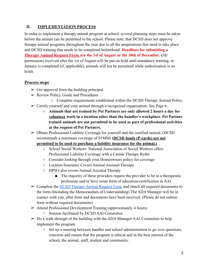## **II. IMPLEMENTATION PROCESS**

In order to implement a therapy animal program at school, several planning steps must be taken before the animal can be permitted to the school. Please note, that DCSD does not approve therapy animal programs throughout the year due to all the preparations that need to take place and DCSD training that needs to be completed beforehand. **Deadlines for submitting a Therapy Animal Request Form are the 1st of August or the 30th of December. (**All permissions received after the 1st of August will be put on hold until mandatory training, in January is completed (if, applicable), animals will not be permitted while authorization is on hold).

## **Process steps**

- $\triangleright$  Get approval from the building principal.
- $\triangleright$  Review Policy, Guide and Procedures
	- Complete requirements established within the DCSD Therapy Animal Policy.
- $\triangleright$  Certify yourself and your animal through a recognized organization. See Page 6.
	- **Animals that are trained by Pet Partners are only allowed 2 hours a day for volunteer work in a location other than the handler's workplace. Pet Partner trained animals are not permitted to be used as part of professional activities at the request of Pet Partners.**
- $\triangleright$  Obtain Professional Liability Coverage for yourself and the certified animal. (DCSD recommends a minimum coverage of \$1MM) **(DCSD funds (P-cards) are not**

## **permitted to be used to purchase a liability insurance for the animal.)**

- School Social Workers: National Association of Social Workers offers Professional Liability Coverage with a Canine Therapy Ryder
- Consider looking through your Homeowners policy for coverage
- Lockton Insurance Covers Animal Assisted Therapy
- HPSO also covers Animal Assisted Therapy
	- The majority of these providers require the provider to be in a therapeutic profession and/or have some form of education/certification in AAI
- ➢ Complete the DCSD Therapy Animal Request Form and attach all required documents to the form.(Including the Memorandum of Understanding) The ADA Manager will be in contact with you, after form and documents have been received. (Please do not submit form without required documents)
- ➢ Attend Professional Development Training (approximately 4 hours)
	- Session facilitated by DCSD AAI Committee
- ➢ Do a walk-through of the building with the ADA Manager/AAI Committee to help implement the program.
	- Set up a meeting between handler and school administration to go over questions, concerns and ensure that the program is ethical and in the best interest of the school, the animal, staff, student and community.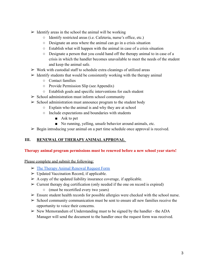- $\triangleright$  Identify areas in the school the animal will be working
	- Identify restricted areas (i.e. Cafeteria, nurse's office, etc.)
	- Designate an area where the animal can go in a crisis situation
	- Establish what will happen with the animal in case of a crisis situation
	- Designate a person that you could hand off the therapy animal to in case of a crisis in which the handler becomes unavailable to meet the needs of the student and keep the animal safe.
- $\triangleright$  Work with custodial staff to schedule extra cleanings of utilized areas
- $\triangleright$  Identify students that would be consistently working with the therapy animal
	- Contact families
	- Provide Permission Slip (see Appendix)
	- Establish goals and specific interventions for each student
- $\triangleright$  School administration must inform school community
- $\triangleright$  School administration must announce program to the student body
	- Explain who the animal is and why they are at school
	- Include expectations and boundaries with students
		- Ask to pet
		- No running, yelling, unsafe behavior around animals, etc.
- $\triangleright$  Begin introducing your animal on a part time schedule once approval is received.

## **III. RENEWAL OF THERAPY ANIMALAPPROVAL**

#### **Therapy animal program permissions must be renewed before a new school year starts!**

Please complete and submit the following:

- $\triangleright$  The Therapy Animal Renewal Request Form
- $\triangleright$  Updated Vaccination Record, if applicable.
- $\triangleright$  A copy of the updated liability insurance coverage, if applicable.
- $\triangleright$  Current therapy dog certification (only needed if the one on record is expired) ○ (must be recertified every two years)
- $\triangleright$  Ensure student health records for possible allergies were checked with the school nurse.
- $\triangleright$  School community communication must be sent to ensure all new families receive the opportunity to voice their concerns.
- $\triangleright$  New Memorandum of Understanding must to be signed by the handler the ADA Manager will send the document to the handler once the request form was received.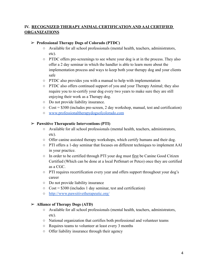## **IV. RECOGNIZED THERAPY ANIMAL CERTIFICATION AND AAI CERTIFIED ORGANIZATIONS**

#### ➢ **Professional Therapy Dogs of Colorado (PTDC)**

- Available for all school professionals (mental health, teachers, administrators, etc).
- PTDC offers pre-screenings to see where your dog is at in the process. They also offer a 2 day seminar in which the handler is able to learn more about the implementation process and ways to keep both your therapy dog and your clients safe
- PTDC also provides you with a manual to help with implementation
- PTDC also offers continued support of you and your Therapy Animal; they also require you to re-certify your dog every two years to make sure they are still enjoying their work as a Therapy dog.
- Do not provide liability insurance.
- $\circ$  Cost = \$300 (includes pre-screen, 2 day workshop, manual, test and certification)
- www.professionaltherapydogsofcolorado.com

#### ➢ **Pawsitive Therapeutic Interventions (PTI)**

- **○** Available for all school professionals (mental health, teachers, administrators, etc).
- Offer canine assisted therapy workshops, which certify humans and their dog.
- PTI offers a 1-day seminar that focuses on different techniques to implement AAI in your practice.
- In order to be certified through PTI your dog must first be Canine Good Citizen Certified (Which can be done at a local PetSmart or Petco) once they are certified as a CGC.
- PTI requires recertification every year and offers support throughout your dog's career
- Do not provide liability insurance
- $\circ$  Cost = \$300 (includes 1 day seminar, test and certification)
- http://www.pawsitivetherapeutic.org/

#### ➢ **Alliance of Therapy Dogs (ATD)**

- **○** Available for all school professionals (mental health, teachers, administrators, etc).
- National organization that certifies both professional and volunteer teams
- Requires teams to volunteer at least every 3 months
- Offer liability insurance through their agency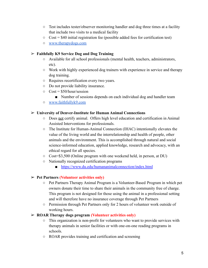- Test includes tester/observer monitoring handler and dog three times at a facility that include two visits to a medical facility
- $\circ$  Cost = \$40 initial registration fee (possible added fees for certification test)
- www.therapydogs.com

#### ➢ **Faithfully K9 Service Dog and Dog Training**

- Available for all school professionals (mental health, teachers, administrators, etc).
- Work with highly experienced dog trainers with experience in service and therapy dog training.
- Requires recertification every two years.
- Do not provide liability insurance.
- $\circ$  Cost = \$50/hour/session
	- Number of sessions depends on each individual dog and handler team
- www.faithfullyk9.com

#### ➢ **University of Denver-Institute for Human Animal Connections**

- Does not certify animal. Offers high level education and certification in Animal Assisted Interventions for professionals.
- The Institute for Human-Animal Connection (IHAC) intentionally elevates the value of the living world and the interrelationship and health of people, other animals and the environment. This is accomplished through natural and social science-informed education, applied knowledge, research and advocacy, with an ethical regard for all species.
- Cost=\$3,500 (Online program with one weekend held, in person, at DU)
- Nationally recognized certification programs
	- https://www.du.edu/humananimalconnection/index.html

## ➢ **Pet Partners (Volunteer activities only)**

- **○** Pet Partners Therapy Animal Program is a Volunteer-Based Program in which pet owners donate their time to share their animals in the community free of charge. This program is not designed for those using the animal in a professional setting and will therefore have no insurance coverage through Pet Partners
- **○** Permission through Pet Partners only for 2 hours of volunteer work outside of working hours.

## ➢ **ROAR Therapy dogs program (Volunteer activities only)**

- This organization is non-profit for volunteers who want to provide services with therapy animals in senior facilities or with one-on-one reading programs in schools.
- ROAR provides training and certification and screening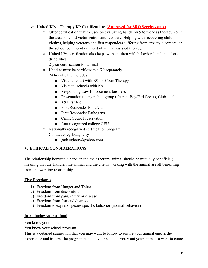## ➢ **United K9s - Therapy K9 Certifications (Approved for SRO Services only)**

- Offer certification that focuses on evaluating handler/K9 to work as therapy K9 in the areas of child victimization and recovery. Helping with recovering child victims, helping veterans and first responders suffering from anxiety disorders, or the school community in need of animal assisted therapy.
- United K9s certification also helps with children with behavioral and emotional disabilities.
- 2-year certification for animal
- Handler must be certify with a K9 separately
- 24 hrs of CEU includes:
	- Visits to court with K9 for Court Therapy
	- Visits to schools with K9
	- Responding Law Enforcement business
	- Presentation to any public group (church, Boy/Girl Scouts, Clubs etc)
	- K9 First Aid
	- First Responder First Aid
	- First Responder Pathogens
	- Crime Scene Preservation
	- Anu recognized college CEU
- Nationally recognized certification program
- Contact Greg Daugherty
	- $\Box$  gadaughtery@yahoo.com

## **V. ETHICAL CONSIDERATIONS**

The relationship between a handler and their therapy animal should be mutually beneficial; meaning that the Handler, the animal and the clients working with the animal are all benefiting from the working relationship.

#### **Five Freedom's**

- 1) Freedom from Hunger and Thirst
- 2) Freedom from discomfort
- 3) Freedom from pain, injury or disease
- 4) Freedom from fear and distress
- 5) Freedom to express species specific behavior (normal behavior)

#### **Introducing your animal**

You know your animal.

You know your school/program.

This is a detailed suggestion that you may want to follow to ensure your animal enjoys the experience and in turn, the program benefits your school. You want your animal to want to come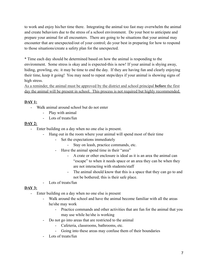to work and enjoy his/her time there. Integrating the animal too fast may overwhelm the animal and create behaviors due to the stress of a school environment. Do your best to anticipate and prepare your animal for all encounters. There are going to be situations that your animal may encounter that are unexpected/out of your control; do your best in preparing for how to respond to those situations/create a safety plan for the unexpected.

\* Time each day should be determined based on how the animal is responding to the environment. Some stress is okay and is expected-this is new! If your animal is shying away, hiding, growling, etc. it may be time to end the day. If they are having fun and clearly enjoying their time, keep it going! You may need to repeat steps/days if your animal is showing signs of high stress.

As a reminder, the animal must be approved by the district and school principal **before** the first day the animal will be present in school. This process is not required but highly recommended.

## **DAY 1:**

- Walk animal around school but do not enter
	- Play with animal
	- Lots of treats/fun

## **DAY 2:**

- Enter building on a day when no one else is present.
	- Hang out in the room where your animal will spend most of their time
		- Set the expectations immediately
			- Stay on leash, practice commands, etc.
		- Have the animal spend time in their "area"
			- A crate or other enclosure is ideal as it is an area the animal can "escape" to when it needs space or an area they can be when they are not interacting with students/staff
			- The animal should know that this is a space that they can go to and not be bothered; this is their safe place.
	- Lots of treats/fun

## **DAY 3:**

- Enter building on a day when no one else is present
	- Walk around the school and have the animal become familiar with all the areas he/she may work
		- Practice commands and other activities that are fun for the animal that you may use while he/she is working
	- Do not go into areas that are restricted to the animal
		- Cafeteria, classrooms, bathrooms, etc.
		- Going into these areas may confuse them of their boundaries
	- Lots of treats/fun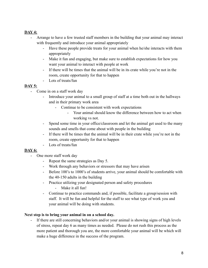## **DAY 4:**

- Arrange to have a few trusted staff members in the building that your animal may interact with frequently and introduce your animal appropriately
	- Have these people provide treats for your animal when he/she interacts with them appropriately
	- Make it fun and engaging, but make sure to establish expectations for how you want your animal to interact with people at work
	- If there will be times that the animal will be in its crate while you're not in the room, create opportunity for that to happen
	- Lots of treats/fun

## **DAY 5:**

- Come in on a staff work day
	- Introduce your animal to a small group of staff at a time both out in the hallways and in their primary work area
		- Continue to be consistent with work expectations
			- Your animal should know the difference between how to act when working vs not.
	- Spend some time in your office/classroom and let the animal get used to the many sounds and smells that come about with people in the building
	- If there will be times that the animal will be in their crate while you're not in the room, create opportunity for that to happen
	- Lots of treats/fun

## **DAY 6:**

- One more staff work day
	- Repeat the same strategies as Day 5.
	- Work through any behaviors or stressors that may have arisen
	- Before 100's to 1000's of students arrive, your animal should be comfortable with the 40-150 adults in the building
	- Practice utilizing your designated person and safety procedures
		- Make it all fun!
	- Continue to practice commands and, if possible, facilitate a group/session with staff. It will be fun and helpful for the staff to see what type of work you and your animal will be doing with students.

## **Next step is to bring your animal in on a school day.**

- If there are still concerning behaviors and/or your animal is showing signs of high levels of stress, repeat day 6 as many times as needed. Please do not rush this process as the more patient and thorough you are, the more comfortable your animal will be which will make a huge difference in the success of the program.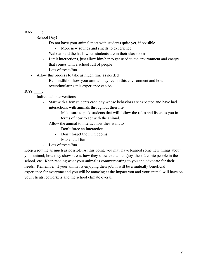## **DAY \_\_\_\_:**

- School Day!
	- Do not have your animal meet with students quite yet, if possible.
		- More new sounds and smells to experience
	- Walk around the halls when students are in their classrooms
	- Limit interactions, just allow him/her to get used to the environment and energy that comes with a school full of people
	- Lots of treats/fun
- Allow this process to take as much time as needed
	- Be mindful of how your animal may feel in this environment and how overstimulating this experience can be

## **DAY \_\_\_\_:**

- Individual interventions
	- Start with a few students each day whose behaviors are expected and have had interactions with animals throughout their life
		- Make sure to pick students that will follow the rules and listen to you in terms of how to act with the animal.
	- Allow the animal to interact how they want to
		- Don't force an interaction
		- Don't forget the 5 Freedoms
		- Make it all fun!
	- Lots of treats/fun

Keep a routine as much as possible. At this point, you may have learned some new things about your animal; how they show stress, how they show excitement/joy, their favorite people in the school, etc. Keep reading what your animal is communicating to you and advocate for their needs. Remember, if your animal is enjoying their job, it will be a mutually beneficial experience for everyone and you will be amazing at the impact you and your animal will have on your clients, coworkers and the school climate overall!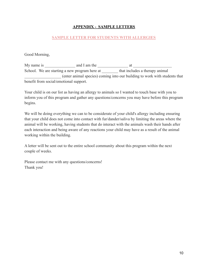## **APPENDIX - SAMPLE LETTERS**

#### **SAMPLE LETTER FOR STUDENTS WITH ALLERGIES**

Good Morning,

My name is \_\_\_\_\_\_\_\_\_\_\_\_\_\_\_ and I am the \_\_\_\_\_\_\_\_\_\_\_\_\_\_\_ at \_\_\_\_\_\_\_\_\_\_\_\_\_\_\_\_\_\_\_ School. We are starting a new program here at that includes a therapy animal \_\_\_\_\_\_\_\_\_\_\_\_\_\_\_\_\_\_ (enter animal species) coming into our building to work with students that benefit from social/emotional support.

Your child is on our list as having an allergy to animals so I wanted to touch base with you to inform you of this program and gather any questions/concerns you may have before this program begins.

We will be doing everything we can to be considerate of your child's allergy including ensuring that your child does not come into contact with fur/dander/saliva by limiting the areas where the animal will be working, having students that do interact with the animals wash their hands after each interaction and being aware of any reactions your child may have as a result of the animal working within the building.

A letter will be sent out to the entire school community about this program within the next couple of weeks.

Please contact me with any questions/concerns! Thank you!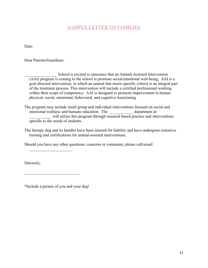## **SAMPLE LETTER TO FAMILIES**

Date:

Dear Parents/Guardians:

School is excited to announce that an Animal-Assisted Intervention (AAI) program is coming to the school to promote social/emotional well-being. AAI is a goal directed intervention, in which an animal that meets specific criteria is an integral part of the treatment process. This intervention will include a certified professional working within their scope of competency. AAI is designed to promote improvement in human physical, social, emotional, behavioral, and cognitive functioning.

The program may include small group and individual interventions focused on social and emotional wellness and humane education. The department at will utilize this program through research based practice and interventions specific to the needs of students.

The therapy dog and its handler have been insured for liability and have undergone extensive training and certifications for animal-assisted interventions.

Should you have any other questions, concerns or comments, please call/email

Sincerely,

\*Include a picture of you and your dog!

 $\mathcal{L}_\text{max}$  and  $\mathcal{L}_\text{max}$  and  $\mathcal{L}_\text{max}$ 

 $\mathcal{L}_\text{max}$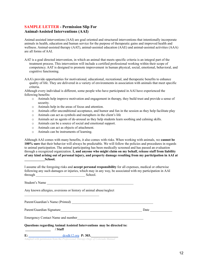#### **SAMPLE LETTER - Permission Slip For Animal-Assisted Interventions (AAI)**

Animal-assisted interventions (AAI) are goal oriented and structured interventions that intentionally incorporate animals in health, education and human service for the purpose of therapeutic gains and improved health and wellness. Animal-assisted therapy (AAT), animal-assisted education (AAE) and animal-assisted activities (AAA) are all forms of AAI.

- AAT is a goal directed intervention, in which an animal that meets specific criteria is an integral part of the treatment process. This intervention will include a certified professional working within their scope of competency. AAT is designed to promote improvement in human physical, social, emotional, behavioral, and cognitive functioning.
- AAA's provide opportunities for motivational, educational, recreational, and therapeutic benefits to enhance quality of life. They are delivered in a variety of environments in association with animals that meet specific criteria.

Although every individual is different, some people who have participated in AAI have experienced the following benefits:

- o Animals help improve motivation and engagement in therapy, they build trust and provide a sense of security.
- o Animals help in the areas of focus and attention.
- o Animals offer unconditional acceptance, and humor and fun in the session as they help facilitate play
- o Animals can act as symbols and metaphors in the client's life
- o Animals act as agents of de-arousal as they help students learn soothing and calming skills.
- o Animals can be a source of social and emotional support.
- o Animals can act as objects of attachment.
- o Animals can be instruments of learning.

Although AAI comes with many benefits, it also comes with risks. When working with animals, we **cannot be 100% sure** that their behavior will always be predictable. We will follow the policies and procedures in regards to animal participation. The animal participating has been medically screened and has passed an evaluation through a recognized organization. **I, and anyone who might claim on my behalf, release staff from liability** of any kind arising out of personal injury, and property damage resulting from my participation in AAI at **\_\_\_\_\_\_\_\_\_\_\_\_School.**

I assume all the foregoing risks and **accept personal responsibility** for all expenses, medical or otherwise following any such damages or injuries, which may in any way, be associated with my participation in AAI through School.

| Student's Name                                                                   |      |  |
|----------------------------------------------------------------------------------|------|--|
| Any known allergies, aversions or history of animal abuse/neglect                |      |  |
|                                                                                  |      |  |
|                                                                                  | Date |  |
| Emergency Contact Name and number<br><u>Emergency</u> Contact Name and number    |      |  |
| Questions regarding Animal Assisted Interventions may be directed to:<br>/ Staff |      |  |

**E:**  $\frac{dcsdk12.org \text{ P}: 303.}{=}$ 

Adapted with permission from the *Professional Therapy Dogs of Colorado Manual*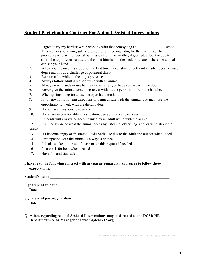## **Student Participation Contract For Animal-Assisted Interventions**

- 1. I agree to try my hardest while working with the therapy dog at school. This includes following safety procedure for meeting a dog for the first time. The procedure is to ask for verbal permission from the handler, if granted, allow the dog to smell the top of your hands, and then pet him/her on the neck or an area where the animal can see your hand.
- 2. When you are meeting a dog for the first time, never stare directly into his/her eyes because dogs read this as a challenge or potential threat.
- 3. Remain calm while in the dog's presence.
- 4. Always follow adult direction while with an animal.
- 5. Always wash hands or use hand sanitizer after you have contact with the dog.
- 6. Never give the animal something to eat without the permission from the handler.
- 7. When giving a dog treat, use the open hand method.
- 8. If you are not following directions or being unsafe with the animal, you may lose the opportunity to work with the therapy dog.
- 9. If you have questions, please ask!
- 10. If you are uncomfortable in a situation, use your voice to express this.
- 11. Students will always be accompanied by an adult while with the animal.
- 12. I will be aware of what the animal needs by listening, observing, and learning about the animal.
- 13. If I become angry or frustrated, I will verbalize this to the adult and ask for what I need.
- 14. Participation with the animal is always a choice.
- 15. It is ok to take a time out. Please make this request if needed.
- 16. Please ask for help when needed.
- 17. Have fun and stay safe!

#### **I have read the following contract with my parents/guardian and agree to follow these expectations.**

**Student's name \_\_\_\_\_\_\_\_\_\_\_\_\_\_\_\_\_\_\_\_\_\_\_\_\_\_\_\_\_\_\_\_\_\_\_\_\_\_\_\_\_\_\_\_\_\_\_\_\_\_\_\_\_\_\_\_\_\_\_\_\_\_\_\_**

**Signature of student\_\_\_\_\_\_\_\_\_\_\_\_\_\_\_\_\_\_\_\_\_\_\_\_\_\_\_\_\_\_\_\_\_\_\_\_\_\_\_\_\_\_\_\_\_\_\_\_\_**

**Date\_\_\_\_\_\_\_\_\_\_\_\_\_**

**Signature of parent/guardian\_\_\_\_\_\_\_\_\_\_\_\_\_\_\_\_\_\_\_\_\_\_\_\_\_\_\_\_\_\_\_\_\_\_\_\_\_\_\_\_\_\_**

**Date\_\_\_\_\_\_\_\_\_\_\_\_\_\_\_**

**Questions regarding Animal Assisted Interventions may be directed to the DCSD HR Department - ADA Manager at acroon@dcsdk12.org.**

Adapted with permission from the *Professional Therapy Dogs of Colorado ManuaL*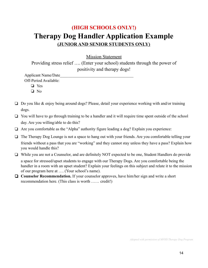## **(HIGH SCHOOLS ONLY!) Therapy Dog Handler Application Example (JUNIOR AND SENIOR STUDENTS ONLY)**

Mission Statement

Providing stress relief …. (Enter your school) students through the power of positivity and therapy dogs!

Applicant Name/Date\_\_\_\_\_\_\_\_\_\_\_\_\_\_\_\_\_\_\_\_\_\_\_\_\_\_\_\_\_\_\_\_\_\_\_\_ Off-Period Available:

❏ Yes

❏ No

- ❏ Do you like & enjoy being around dogs? Please, detail your experience working with and/or training dogs.
- ❏ You will have to go through training to be a handler and it will require time spent outside of the school day. Are you willing/able to do this?
- ❏ Are you comfortable as the "Alpha" authority figure leading a dog? Explain you experience:
- ❏ The Therapy Dog Lounge is not a space to hang out with your friends. Are you comfortable telling your friends without a pass that you are "working" and they cannot stay unless they have a pass? Explain how you would handle this?
- ❏ While you are not a Counselor, and are definitely NOT expected to be one, Student Handlers do provide a space for stressed/upset students to engage with our Therapy Dogs. Are you comfortable being the handler in a room with an upset student? Explain your feelings on this subject and relate it to the mission of our program here at …. (Your school's name).
- ❏ **Counselor Recommendation.** If your counselor approves, have him/her sign and write a short recommendation here. (This class is worth …… credit!)

*Adopted with permission of MVHS Therapy Dog Program*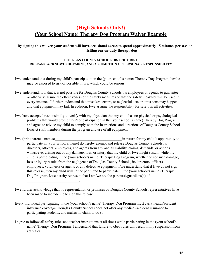## **(High Schools Only!) (Your School Name) Therapy Dog Program Waiver Example**

#### By signing this waiver, your student will have occasional access to spend approximately 15 minutes per session **visiting our on-duty therapy dog**

#### **DOUGLAS COUNTY SCHOOL DISTRICT RE-1 RELEASE, ACKNOWLEDGEMENT, AND ASSUMPTION OF PERSONAL RESPONSIBILITY**

- I/we understand that during my child's participation in the (your school's name) Therapy Dog Program, he/she may be exposed to risk of possible injury, which could be serious.
- I/we understand, too, that it is not possible for Douglas County Schools, its employees or agents, to guarantee or otherwise assure the effectiveness of the safety measures or that the safety measures will be used in every instance. I further understand that mistakes, errors, or neglectful acts or omissions may happen and that equipment may fail. In addition, I/we assume the responsibility for safety in all activities.
- I/we have accepted responsibility to verify with my physician that my child has no physical or psychological problems that would prohibit his/her participation in the (your school's name) Therapy Dog Program and agree to advice my child to comply with the instructions and directions of Douglas County School District staff members during the program and use of all equipment.
- I/we (print parents' names) and in return for my child's opportunity to participate in (your school's name) do hereby exempt and release Douglas County Schools its directors, officers, employees, and agents from any and all liability, claims, demands, or actions whatsoever arising out of any damage, loss, or injury that my child or I/we might sustain while my child is participating in the (your school's name) Therapy Dog Program, whether or not such damage, loss or injury results from the negligence of Douglas County Schools, its directors, officers, employees, volunteers or agents or any defective equipment. I/we understand that if I/we do not sign this release, then my child will not be permitted to participate in the (your school's name) Therapy Dog Program. I/we hereby represent that I am/we are the parent(s)/guardians(s) of
- I/we further acknowledge that no representation or promises by Douglas County Schools representatives have been made to include me to sign this release.

 $\mathcal{L}_\text{max}$  and  $\mathcal{L}_\text{max}$  and  $\mathcal{L}_\text{max}$ 

- Every individual participating in the (your school's name) Therapy Dog Program must carry health/accident insurance coverage. Douglas County Schools does not offer any medical/accident insurance to participating students, and makes no claim to do so.
- I agree to follow all safety rules and teacher instructions at all times while participating in the (your school's name) Therapy Dog Program. I understand that failure to obey rules will result in my suspension from activities.